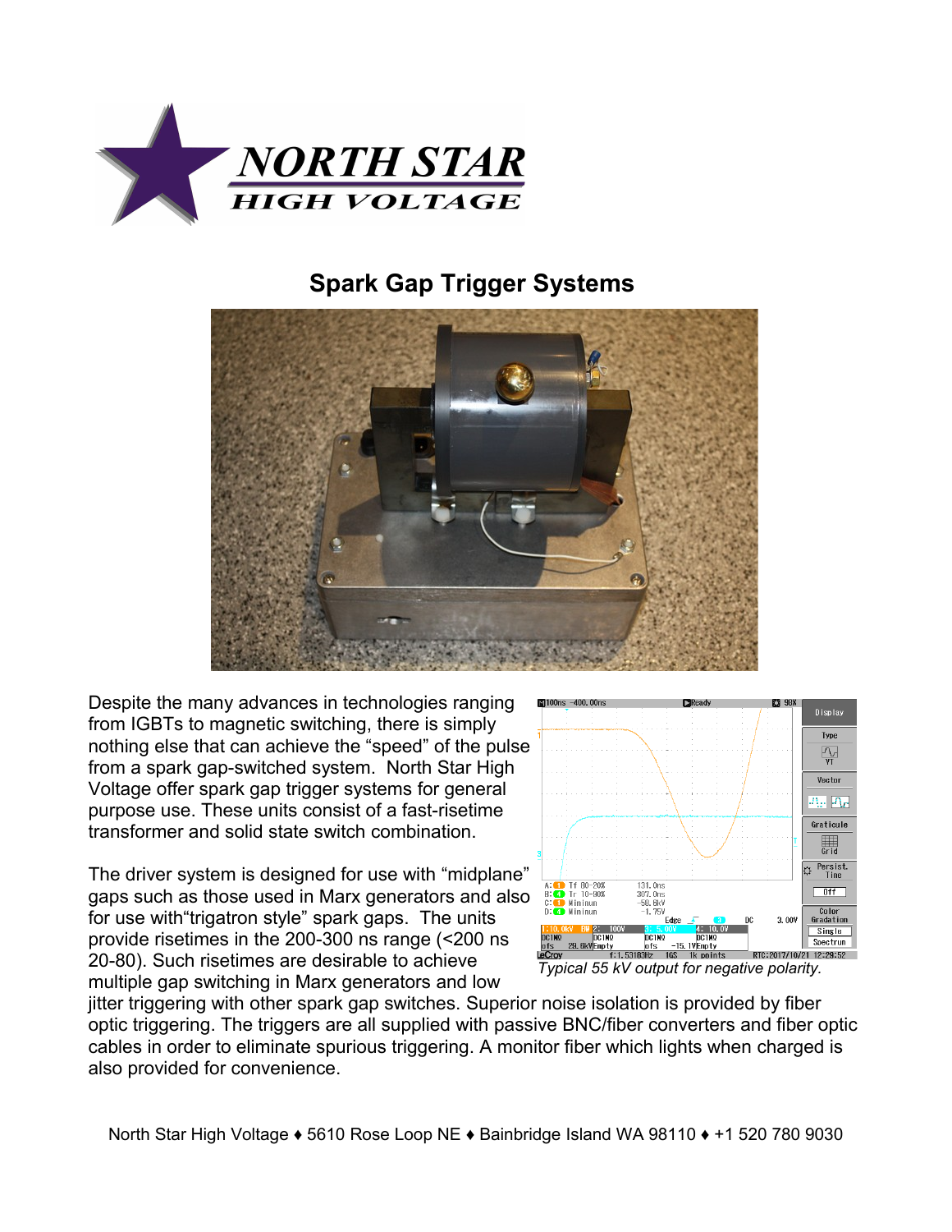

## **Spark Gap Trigger Systems**



Despite the many advances in technologies ranging from IGBTs to magnetic switching, there is simply nothing else that can achieve the "speed" of the pulse from a spark gap-switched system. North Star High Voltage offer spark gap trigger systems for general purpose use. These units consist of a fast-risetime transformer and solid state switch combination.

The driver system is designed for use with "midplane" gaps such as those used in Marx generators and also for use with"trigatron style" spark gaps. The units provide risetimes in the 200-300 ns range (<200 ns 20-80). Such risetimes are desirable to achieve multiple gap switching in Marx generators and low



jitter triggering with other spark gap switches. Superior noise isolation is provided by fiber optic triggering. The triggers are all supplied with passive BNC/fiber converters and fiber optic cables in order to eliminate spurious triggering. A monitor fiber which lights when charged is also provided for convenience.